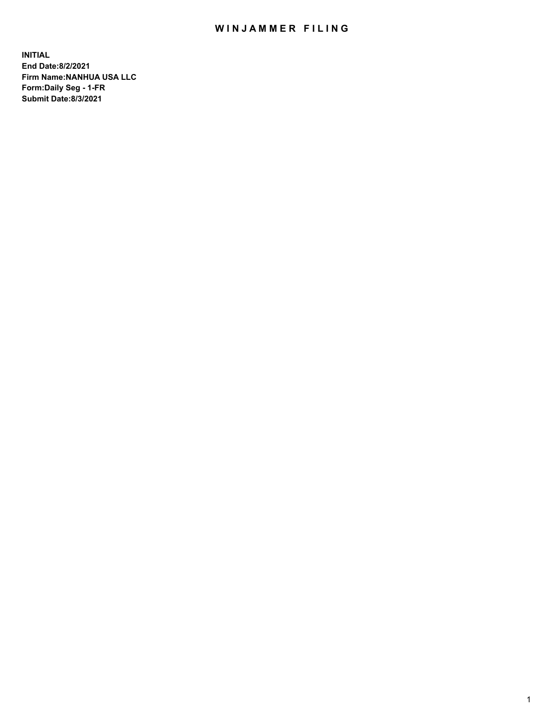## WIN JAMMER FILING

**INITIAL End Date:8/2/2021 Firm Name:NANHUA USA LLC Form:Daily Seg - 1-FR Submit Date:8/3/2021**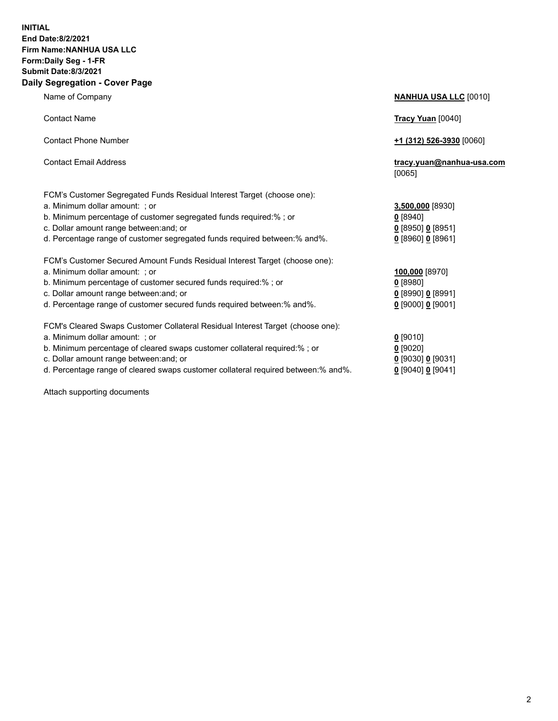## **INITIAL End Date:8/2/2021 Firm Name:NANHUA USA LLC Form:Daily Seg - 1-FR Submit Date:8/3/2021 Daily Segregation - Cover Page**

Name of Company **NANHUA USA LLC** [0010] Contact Name **Tracy Yuan** [0040] Contact Phone Number **+1 (312) 526-3930** [0060] Contact Email Address **tracy.yuan@nanhua-usa.com** [0065] FCM's Customer Segregated Funds Residual Interest Target (choose one): a. Minimum dollar amount: ; or **3,500,000** [8930] b. Minimum percentage of customer segregated funds required:% ; or **0** [8940] c. Dollar amount range between:and; or **0** [8950] **0** [8951] d. Percentage range of customer segregated funds required between:% and%. **0** [8960] **0** [8961] FCM's Customer Secured Amount Funds Residual Interest Target (choose one): a. Minimum dollar amount: ; or **100,000** [8970] b. Minimum percentage of customer secured funds required:% ; or **0** [8980] c. Dollar amount range between:and; or **0** [8990] **0** [8991] d. Percentage range of customer secured funds required between:% and%. **0** [9000] **0** [9001] FCM's Cleared Swaps Customer Collateral Residual Interest Target (choose one): a. Minimum dollar amount: ; or **0** [9010] b. Minimum percentage of cleared swaps customer collateral required:% ; or **0** [9020] c. Dollar amount range between:and; or **0** [9030] **0** [9031]

d. Percentage range of cleared swaps customer collateral required between:% and%. **0** [9040] **0** [9041]

Attach supporting documents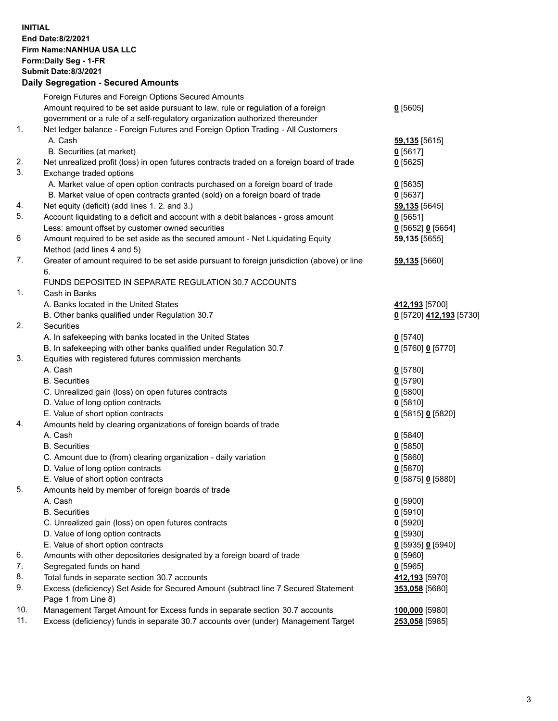## **INITIAL End Date:8/2/2021 Firm Name:NANHUA USA LLC Form:Daily Seg - 1-FR Submit Date:8/3/2021 Daily Segregation - Secured Amounts**

|     | Foreign Futures and Foreign Options Secured Amounts                                               |                         |
|-----|---------------------------------------------------------------------------------------------------|-------------------------|
|     | Amount required to be set aside pursuant to law, rule or regulation of a foreign                  | $0$ [5605]              |
|     | government or a rule of a self-regulatory organization authorized thereunder                      |                         |
| 1.  | Net ledger balance - Foreign Futures and Foreign Option Trading - All Customers                   |                         |
|     | A. Cash                                                                                           | 59,135 [5615]           |
|     | B. Securities (at market)                                                                         | $0$ [5617]              |
| 2.  | Net unrealized profit (loss) in open futures contracts traded on a foreign board of trade         | $0$ [5625]              |
| 3.  | Exchange traded options                                                                           |                         |
|     | A. Market value of open option contracts purchased on a foreign board of trade                    | $0$ [5635]              |
|     | B. Market value of open contracts granted (sold) on a foreign board of trade                      | $0$ [5637]              |
| 4.  | Net equity (deficit) (add lines 1. 2. and 3.)                                                     | 59,135 [5645]           |
| 5.  | Account liquidating to a deficit and account with a debit balances - gross amount                 | $0$ [5651]              |
|     | Less: amount offset by customer owned securities                                                  | $0$ [5652] $0$ [5654]   |
| 6   | Amount required to be set aside as the secured amount - Net Liquidating Equity                    | 59,135 [5655]           |
|     | Method (add lines 4 and 5)                                                                        |                         |
| 7.  | Greater of amount required to be set aside pursuant to foreign jurisdiction (above) or line<br>6. | 59,135 [5660]           |
|     | FUNDS DEPOSITED IN SEPARATE REGULATION 30.7 ACCOUNTS                                              |                         |
| 1.  | Cash in Banks                                                                                     |                         |
|     | A. Banks located in the United States                                                             | 412,193 [5700]          |
|     | B. Other banks qualified under Regulation 30.7                                                    | 0 [5720] 412,193 [5730] |
| 2.  | <b>Securities</b>                                                                                 |                         |
|     | A. In safekeeping with banks located in the United States                                         | $0$ [5740]              |
|     | B. In safekeeping with other banks qualified under Regulation 30.7                                | 0 [5760] 0 [5770]       |
| 3.  | Equities with registered futures commission merchants                                             |                         |
|     | A. Cash                                                                                           | $0$ [5780]              |
|     | <b>B.</b> Securities                                                                              | $0$ [5790]              |
|     | C. Unrealized gain (loss) on open futures contracts                                               | $0$ [5800]              |
|     | D. Value of long option contracts                                                                 | 0[5810]                 |
|     | E. Value of short option contracts                                                                | 0 [5815] 0 [5820]       |
| 4.  | Amounts held by clearing organizations of foreign boards of trade                                 |                         |
|     | A. Cash                                                                                           | $0$ [5840]              |
|     | <b>B.</b> Securities                                                                              | $0$ [5850]              |
|     | C. Amount due to (from) clearing organization - daily variation                                   | 0[5860]                 |
|     | D. Value of long option contracts                                                                 | $0$ [5870]              |
|     | E. Value of short option contracts                                                                | 0 [5875] 0 [5880]       |
| 5.  | Amounts held by member of foreign boards of trade                                                 |                         |
|     | A. Cash                                                                                           | $0$ [5900]              |
|     | <b>B.</b> Securities                                                                              | $0$ [5910]              |
|     | C. Unrealized gain (loss) on open futures contracts                                               | $0$ [5920]              |
|     | D. Value of long option contracts                                                                 | $0$ [5930]              |
|     | E. Value of short option contracts                                                                | $0$ [5935] $0$ [5940]   |
| 6.  | Amounts with other depositories designated by a foreign board of trade                            | $0$ [5960]              |
| 7.  | Segregated funds on hand                                                                          | $0$ [5965]              |
| 8.  | Total funds in separate section 30.7 accounts                                                     | 412,193 [5970]          |
| 9.  | Excess (deficiency) Set Aside for Secured Amount (subtract line 7 Secured Statement               | 353,058 [5680]          |
|     | Page 1 from Line 8)                                                                               |                         |
| 10. | Management Target Amount for Excess funds in separate section 30.7 accounts                       | 100,000 [5980]          |
| 11. | Excess (deficiency) funds in separate 30.7 accounts over (under) Management Target                | 253,058 [5985]          |
|     |                                                                                                   |                         |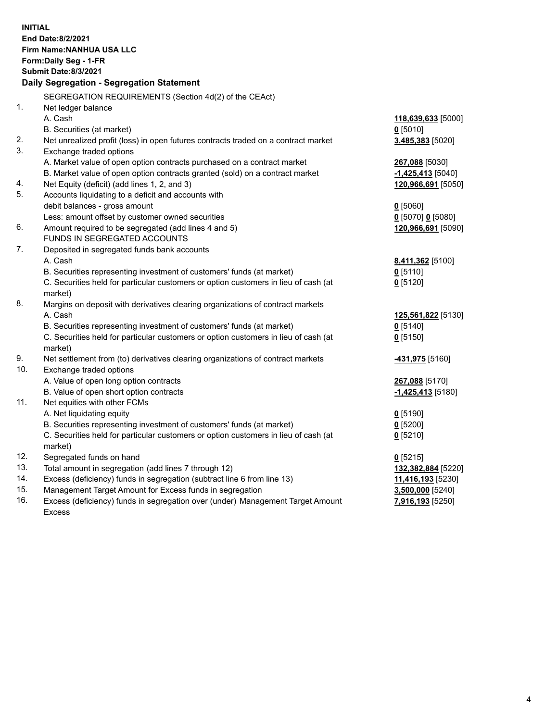| <b>INITIAL</b> | End Date:8/2/2021<br>Firm Name: NANHUA USA LLC<br>Form: Daily Seg - 1-FR<br><b>Submit Date:8/3/2021</b><br>Daily Segregation - Segregation Statement |                              |
|----------------|------------------------------------------------------------------------------------------------------------------------------------------------------|------------------------------|
|                | SEGREGATION REQUIREMENTS (Section 4d(2) of the CEAct)                                                                                                |                              |
| 1.             | Net ledger balance                                                                                                                                   |                              |
|                | A. Cash                                                                                                                                              | 118,639,633 [5000]           |
|                | B. Securities (at market)                                                                                                                            | $0$ [5010]                   |
| 2.             | Net unrealized profit (loss) in open futures contracts traded on a contract market                                                                   | 3,485,383 [5020]             |
| 3.             | Exchange traded options                                                                                                                              |                              |
|                | A. Market value of open option contracts purchased on a contract market                                                                              | 267,088 [5030]               |
|                | B. Market value of open option contracts granted (sold) on a contract market                                                                         | -1,425,413 <sup>[5040]</sup> |
| 4.             | Net Equity (deficit) (add lines 1, 2, and 3)                                                                                                         | 120,966,691 [5050]           |
| 5.             | Accounts liquidating to a deficit and accounts with                                                                                                  |                              |
|                | debit balances - gross amount                                                                                                                        | $0$ [5060]                   |
|                | Less: amount offset by customer owned securities                                                                                                     | 0 [5070] 0 [5080]            |
| 6.             | Amount required to be segregated (add lines 4 and 5)                                                                                                 | 120,966,691 [5090]           |
| 7.             | FUNDS IN SEGREGATED ACCOUNTS                                                                                                                         |                              |
|                | Deposited in segregated funds bank accounts<br>A. Cash                                                                                               |                              |
|                | B. Securities representing investment of customers' funds (at market)                                                                                | 8,411,362 [5100]             |
|                | C. Securities held for particular customers or option customers in lieu of cash (at                                                                  | $Q$ [5110]<br>$0$ [5120]     |
|                | market)                                                                                                                                              |                              |
| 8.             | Margins on deposit with derivatives clearing organizations of contract markets                                                                       |                              |
|                | A. Cash                                                                                                                                              | 125,561,822 [5130]           |
|                | B. Securities representing investment of customers' funds (at market)                                                                                | $0$ [5140]                   |
|                | C. Securities held for particular customers or option customers in lieu of cash (at                                                                  | $0$ [5150]                   |
|                | market)                                                                                                                                              |                              |
| 9.             | Net settlement from (to) derivatives clearing organizations of contract markets                                                                      | <b>-431,975</b> [5160]       |
| 10.            | Exchange traded options                                                                                                                              |                              |
|                | A. Value of open long option contracts                                                                                                               | 267,088 [5170]               |
|                | B. Value of open short option contracts                                                                                                              | -1,425,413 <sup>[5180]</sup> |
| 11.            | Net equities with other FCMs                                                                                                                         |                              |
|                | A. Net liquidating equity                                                                                                                            | $0$ [5190]                   |
|                | B. Securities representing investment of customers' funds (at market)                                                                                | $0$ [5200]                   |
|                | C. Securities held for particular customers or option customers in lieu of cash (at                                                                  | $0$ [5210]                   |
|                | market)                                                                                                                                              |                              |
| 12.            | Segregated funds on hand                                                                                                                             | $0$ [5215]                   |
| 13.            | Total amount in segregation (add lines 7 through 12)                                                                                                 | 132,382,884 [5220]           |
| 14.            | Excess (deficiency) funds in segregation (subtract line 6 from line 13)                                                                              | 11,416,193 [5230]            |
| 15.<br>16.     | Management Target Amount for Excess funds in segregation                                                                                             | 3,500,000 [5240]             |
|                | Excess (deficiency) funds in segregation over (under) Management Target Amount<br><b>Excess</b>                                                      | 7,916,193 [5250]             |
|                |                                                                                                                                                      |                              |